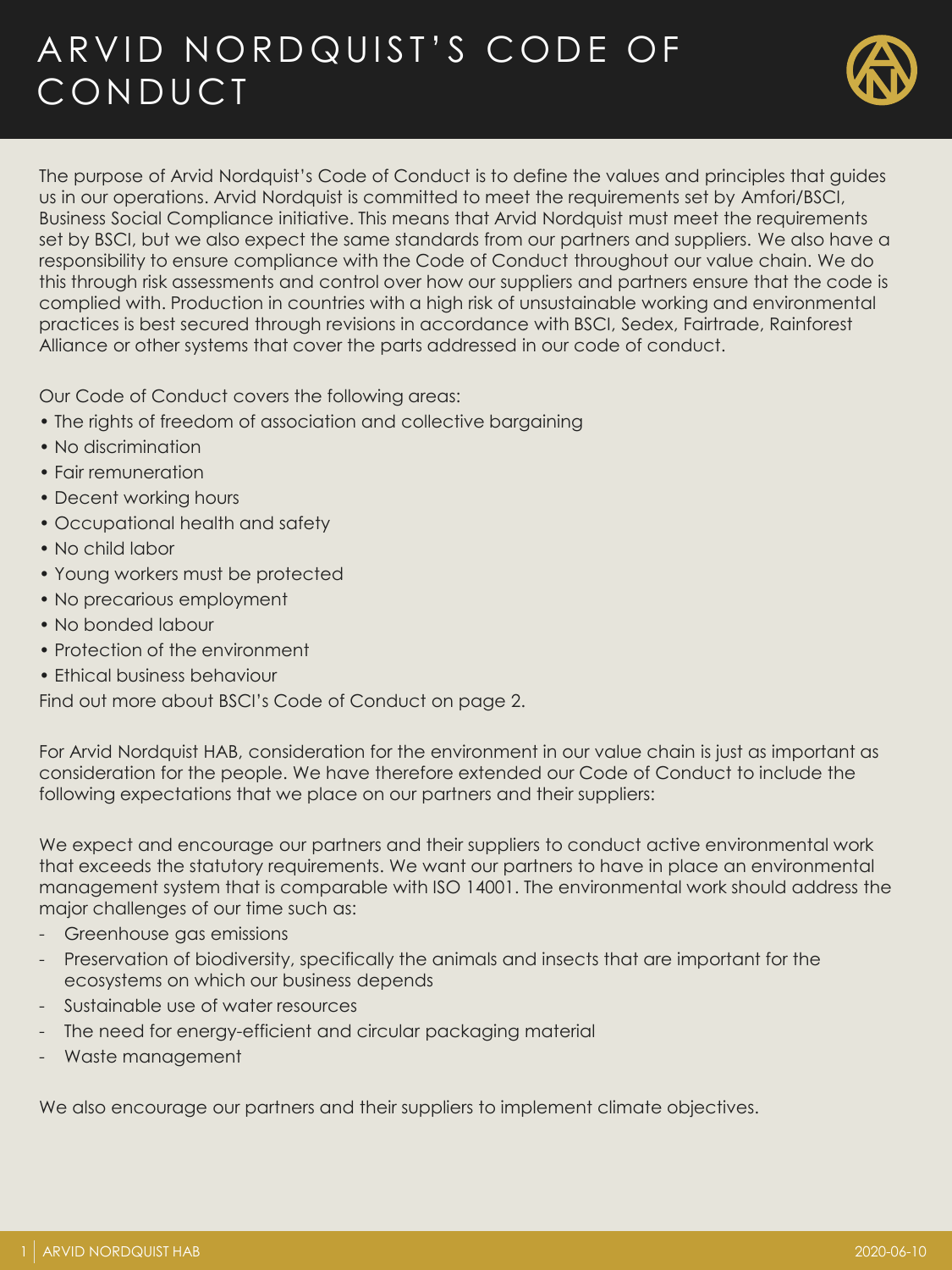# ARVID NORDQUIST'S CODE OF **CONDUCT**



The purpose of Arvid Nordquist's Code of Conduct is to define the values and principles that guides us in our operations. Arvid Nordquist is committed to meet the requirements set by Amfori/BSCI, Business Social Compliance initiative. This means that Arvid Nordquist must meet the requirements set by BSCI, but we also expect the same standards from our partners and suppliers. We also have a responsibility to ensure compliance with the Code of Conduct throughout our value chain. We do this through risk assessments and control over how our suppliers and partners ensure that the code is complied with. Production in countries with a high risk of unsustainable working and environmental practices is best secured through revisions in accordance with BSCI, Sedex, Fairtrade, Rainforest Alliance or other systems that cover the parts addressed in our code of conduct.

Our Code of Conduct covers the following areas:

- The rights of freedom of association and collective bargaining
- No discrimination
- Fair remuneration
- Decent working hours
- Occupational health and safety
- No child labor
- Young workers must be protected
- No precarious employment
- No bonded labour
- Protection of the environment
- Ethical business behaviour

Find out more about BSCI's Code of Conduct on page 2.

For Arvid Nordquist HAB, consideration for the environment in our value chain is just as important as consideration for the people. We have therefore extended our Code of Conduct to include the following expectations that we place on our partners and their suppliers:

We expect and encourage our partners and their suppliers to conduct active environmental work that exceeds the statutory requirements. We want our partners to have in place an environmental management system that is comparable with ISO 14001. The environmental work should address the major challenges of our time such as:

- Greenhouse gas emissions
- Preservation of biodiversity, specifically the animals and insects that are important for the ecosystems on which our business depends
- Sustainable use of water resources
- The need for energy-efficient and circular packaging material
- Waste management

We also encourage our partners and their suppliers to implement climate objectives.